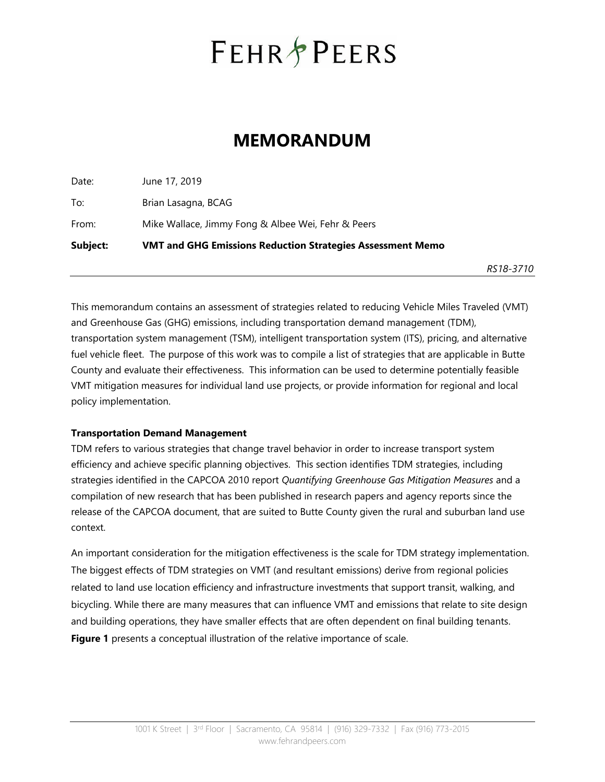# **FEHR PEERS**

# **MEMORANDUM**

Date: June 17, 2019 To: Brian Lasagna, BCAG From: Mike Wallace, Jimmy Fong & Albee Wei, Fehr & Peers **Subject: VMT and GHG Emissions Reduction Strategies Assessment Memo** 

*RS18-3710* 

This memorandum contains an assessment of strategies related to reducing Vehicle Miles Traveled (VMT) and Greenhouse Gas (GHG) emissions, including transportation demand management (TDM), transportation system management (TSM), intelligent transportation system (ITS), pricing, and alternative fuel vehicle fleet. The purpose of this work was to compile a list of strategies that are applicable in Butte County and evaluate their effectiveness. This information can be used to determine potentially feasible VMT mitigation measures for individual land use projects, or provide information for regional and local policy implementation.

# **Transportation Demand Management**

TDM refers to various strategies that change travel behavior in order to increase transport system efficiency and achieve specific planning objectives. This section identifies TDM strategies, including strategies identified in the CAPCOA 2010 report *Quantifying Greenhouse Gas Mitigation Measures* and a compilation of new research that has been published in research papers and agency reports since the release of the CAPCOA document, that are suited to Butte County given the rural and suburban land use context.

An important consideration for the mitigation effectiveness is the scale for TDM strategy implementation. The biggest effects of TDM strategies on VMT (and resultant emissions) derive from regional policies related to land use location efficiency and infrastructure investments that support transit, walking, and bicycling. While there are many measures that can influence VMT and emissions that relate to site design and building operations, they have smaller effects that are often dependent on final building tenants. **Figure 1** presents a conceptual illustration of the relative importance of scale.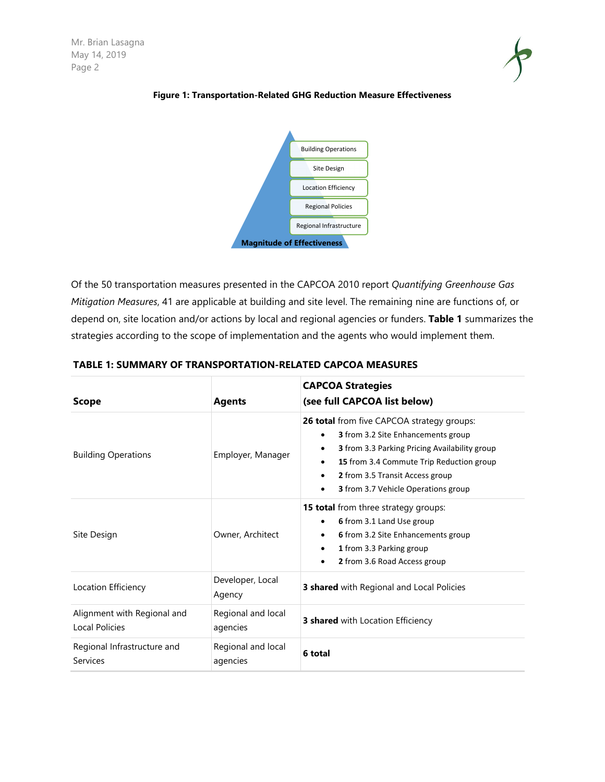

#### **Figure 1: Transportation-Related GHG Reduction Measure Effectiveness**



Of the 50 transportation measures presented in the CAPCOA 2010 report *Quantifying Greenhouse Gas Mitigation Measures*, 41 are applicable at building and site level. The remaining nine are functions of, or depend on, site location and/or actions by local and regional agencies or funders. **Table 1** summarizes the strategies according to the scope of implementation and the agents who would implement them.

| <b>Scope</b>                                  | <b>Agents</b>                  | <b>CAPCOA Strategies</b><br>(see full CAPCOA list below)                                                                                                                                                                                                                                |
|-----------------------------------------------|--------------------------------|-----------------------------------------------------------------------------------------------------------------------------------------------------------------------------------------------------------------------------------------------------------------------------------------|
| <b>Building Operations</b>                    | Employer, Manager              | 26 total from five CAPCOA strategy groups:<br><b>3</b> from 3.2 Site Enhancements group<br>3 from 3.3 Parking Pricing Availability group<br>$\bullet$<br>15 from 3.4 Commute Trip Reduction group<br>2 from 3.5 Transit Access group<br><b>3</b> from 3.7 Vehicle Operations group<br>٠ |
| Site Design                                   | Owner, Architect               | <b>15 total</b> from three strategy groups:<br>6 from 3.1 Land Use group<br>6 from 3.2 Site Enhancements group<br>1 from 3.3 Parking group<br>2 from 3.6 Road Access group                                                                                                              |
| Location Efficiency                           | Developer, Local<br>Agency     | 3 shared with Regional and Local Policies                                                                                                                                                                                                                                               |
| Alignment with Regional and<br>Local Policies | Regional and local<br>agencies | 3 shared with Location Efficiency                                                                                                                                                                                                                                                       |
| Regional Infrastructure and<br>Services       | Regional and local<br>agencies | 6 total                                                                                                                                                                                                                                                                                 |

#### **TABLE 1: SUMMARY OF TRANSPORTATION-RELATED CAPCOA MEASURES**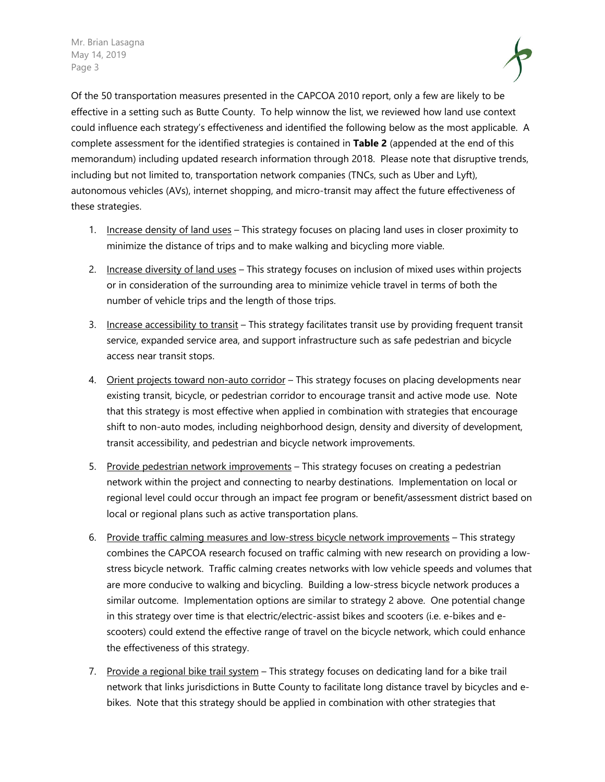Mr. Brian Lasagna May 14, 2019 Page 3



Of the 50 transportation measures presented in the CAPCOA 2010 report, only a few are likely to be effective in a setting such as Butte County. To help winnow the list, we reviewed how land use context could influence each strategy's effectiveness and identified the following below as the most applicable. A complete assessment for the identified strategies is contained in **Table 2** (appended at the end of this memorandum) including updated research information through 2018. Please note that disruptive trends, including but not limited to, transportation network companies (TNCs, such as Uber and Lyft), autonomous vehicles (AVs), internet shopping, and micro-transit may affect the future effectiveness of these strategies.

- 1. Increase density of land uses This strategy focuses on placing land uses in closer proximity to minimize the distance of trips and to make walking and bicycling more viable.
- 2. Increase diversity of land uses This strategy focuses on inclusion of mixed uses within projects or in consideration of the surrounding area to minimize vehicle travel in terms of both the number of vehicle trips and the length of those trips.
- 3. Increase accessibility to transit This strategy facilitates transit use by providing frequent transit service, expanded service area, and support infrastructure such as safe pedestrian and bicycle access near transit stops.
- 4. Orient projects toward non-auto corridor This strategy focuses on placing developments near existing transit, bicycle, or pedestrian corridor to encourage transit and active mode use. Note that this strategy is most effective when applied in combination with strategies that encourage shift to non-auto modes, including neighborhood design, density and diversity of development, transit accessibility, and pedestrian and bicycle network improvements.
- 5. Provide pedestrian network improvements This strategy focuses on creating a pedestrian network within the project and connecting to nearby destinations. Implementation on local or regional level could occur through an impact fee program or benefit/assessment district based on local or regional plans such as active transportation plans.
- 6. Provide traffic calming measures and low-stress bicycle network improvements This strategy combines the CAPCOA research focused on traffic calming with new research on providing a lowstress bicycle network. Traffic calming creates networks with low vehicle speeds and volumes that are more conducive to walking and bicycling. Building a low-stress bicycle network produces a similar outcome. Implementation options are similar to strategy 2 above. One potential change in this strategy over time is that electric/electric-assist bikes and scooters (i.e. e-bikes and escooters) could extend the effective range of travel on the bicycle network, which could enhance the effectiveness of this strategy.
- 7. Provide a regional bike trail system This strategy focuses on dedicating land for a bike trail network that links jurisdictions in Butte County to facilitate long distance travel by bicycles and ebikes. Note that this strategy should be applied in combination with other strategies that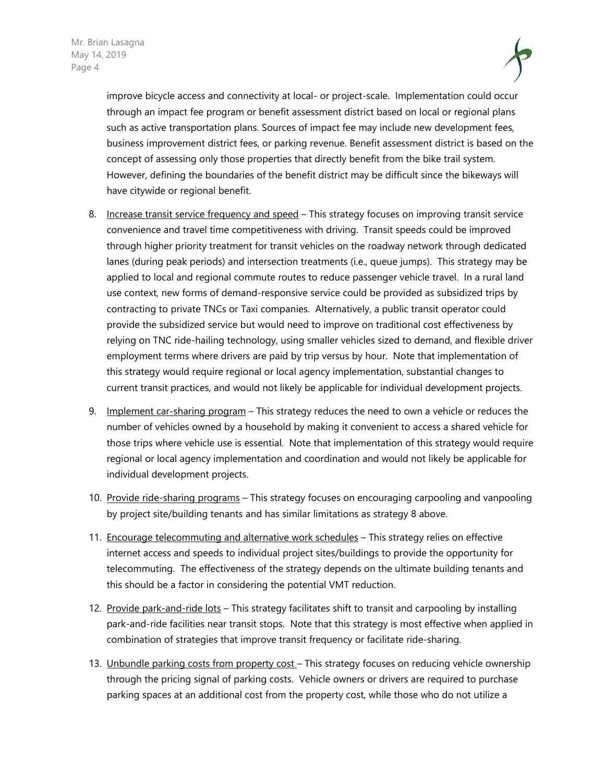

improve bicycle access and connectivity at local- or project-scale. Implementation could occur through an impact fee program or benefit assessment district based on local or regional plans such as active transportation plans. Sources of impact fee may include new development fees, business improvement district fees, or parking revenue. Benefit assessment district is based on the concept of assessing only those properties that directly benefit from the bike trail system. However, defining the boundaries of the benefit district may be difficult since the bikeways will have citywide or regional benefit.

- 8. Increase transit service frequency and speed This strategy focuses on improving transit service convenience and travel time competitiveness with driving. Transit speeds could be improved through higher priority treatment for transit vehicles on the roadway network through dedicated lanes (during peak periods) and intersection treatments (i.e., queue jumps). This strategy may be applied to local and regional commute routes to reduce passenger vehicle travel. In a rural land use context, new forms of demand-responsive service could be provided as subsidized trips by contracting to private TNCs or Taxi companies. Alternatively, a public transit operator could provide the subsidized service but would need to improve on traditional cost effectiveness by relying on TNC ride-hailing technology, using smaller vehicles sized to demand, and flexible driver employment terms where drivers are paid by trip versus by hour. Note that implementation of this strategy would require regional or local agency implementation, substantial changes to current transit practices, and would not likely be applicable for individual development projects.
- 9. Implement car-sharing program This strategy reduces the need to own a vehicle or reduces the number of vehicles owned by a household by making it convenient to access a shared vehicle for those trips where vehicle use is essential. Note that implementation of this strategy would require regional or local agency implementation and coordination and would not likely be applicable for individual development projects.
- 10. Provide ride-sharing programs This strategy focuses on encouraging carpooling and vanpooling by project site/building tenants and has similar limitations as strategy 8 above.
- 11. Encourage telecommuting and alternative work schedules This strategy relies on effective internet access and speeds to individual project sites/buildings to provide the opportunity for telecommuting. The effectiveness of the strategy depends on the ultimate building tenants and this should be a factor in considering the potential VMT reduction.
- 12. Provide park-and-ride lots This strategy facilitates shift to transit and carpooling by installing park-and-ride facilities near transit stops. Note that this strategy is most effective when applied in combination of strategies that improve transit frequency or facilitate ride-sharing.
- 13. Unbundle parking costs from property cost This strategy focuses on reducing vehicle ownership through the pricing signal of parking costs. Vehicle owners or drivers are required to purchase parking spaces at an additional cost from the property cost, while those who do not utilize a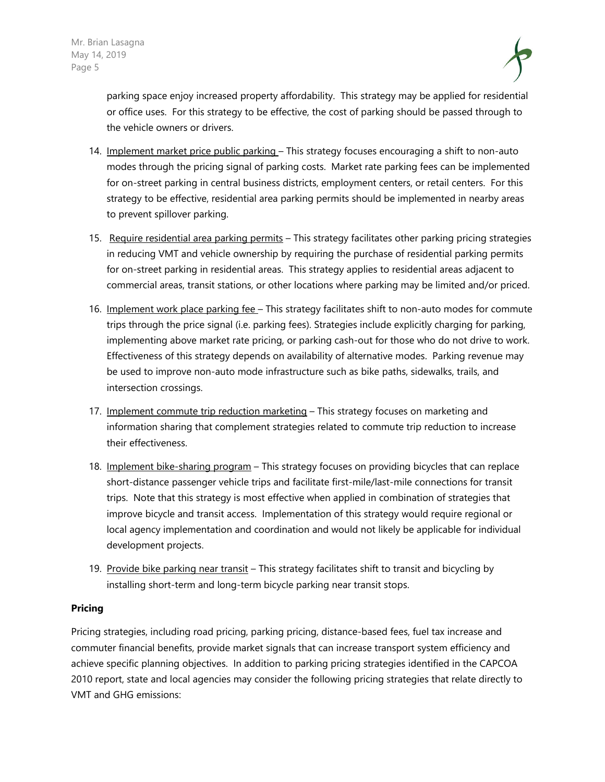

parking space enjoy increased property affordability. This strategy may be applied for residential or office uses. For this strategy to be effective, the cost of parking should be passed through to the vehicle owners or drivers.

- 14. Implement market price public parking This strategy focuses encouraging a shift to non-auto modes through the pricing signal of parking costs. Market rate parking fees can be implemented for on-street parking in central business districts, employment centers, or retail centers. For this strategy to be effective, residential area parking permits should be implemented in nearby areas to prevent spillover parking.
- 15. Require residential area parking permits This strategy facilitates other parking pricing strategies in reducing VMT and vehicle ownership by requiring the purchase of residential parking permits for on-street parking in residential areas. This strategy applies to residential areas adjacent to commercial areas, transit stations, or other locations where parking may be limited and/or priced.
- 16. Implement work place parking fee This strategy facilitates shift to non-auto modes for commute trips through the price signal (i.e. parking fees). Strategies include explicitly charging for parking, implementing above market rate pricing, or parking cash-out for those who do not drive to work. Effectiveness of this strategy depends on availability of alternative modes. Parking revenue may be used to improve non-auto mode infrastructure such as bike paths, sidewalks, trails, and intersection crossings.
- 17. Implement commute trip reduction marketing This strategy focuses on marketing and information sharing that complement strategies related to commute trip reduction to increase their effectiveness.
- 18. Implement bike-sharing program This strategy focuses on providing bicycles that can replace short-distance passenger vehicle trips and facilitate first-mile/last-mile connections for transit trips. Note that this strategy is most effective when applied in combination of strategies that improve bicycle and transit access. Implementation of this strategy would require regional or local agency implementation and coordination and would not likely be applicable for individual development projects.
- 19. Provide bike parking near transit This strategy facilitates shift to transit and bicycling by installing short-term and long-term bicycle parking near transit stops.

#### **Pricing**

Pricing strategies, including road pricing, parking pricing, distance-based fees, fuel tax increase and commuter financial benefits, provide market signals that can increase transport system efficiency and achieve specific planning objectives. In addition to parking pricing strategies identified in the CAPCOA 2010 report, state and local agencies may consider the following pricing strategies that relate directly to VMT and GHG emissions: